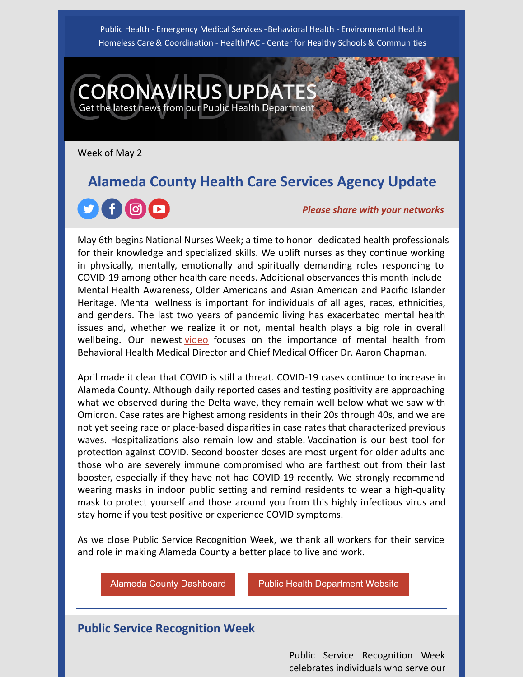Public Health - Emergency Medical Services -Behavioral Health - Environmental Health Homeless Care & Coordination - HealthPAC - Center for Healthy Schools & Communities

**NAVIRUS UPDAT** 

Get the latest news from our Public Health Department

Week of May 2

# **Alameda County Health Care Services Agency Update** (O) *Please share with your networks*

May 6th begins National Nurses Week; a time to honor dedicated health professionals for their knowledge and specialized skills. We uplift nurses as they continue working in physically, mentally, emotionally and spiritually demanding roles responding to COVID-19 among other health care needs. Additional observances this month include Mental Health Awareness, Older Americans and Asian American and Pacific Islander Heritage. Mental wellness is important for individuals of all ages, races, ethnicities, and genders. The last two years of pandemic living has exacerbated mental health issues and, whether we realize it or not, mental health plays a big role in overall wellbeing. Our newest [video](https://youtu.be/HKu9mMwVNgc) focuses on the importance of mental health from Behavioral Health Medical Director and Chief Medical Officer Dr. Aaron Chapman.

April made it clear that COVID is still a threat. COVID-19 cases continue to increase in Alameda County. Although daily reported cases and testing positivity are approaching what we observed during the Delta wave, they remain well below what we saw with Omicron. Case rates are highest among residents in their 20s through 40s, and we are not yet seeing race or place-based disparities in case rates that characterized previous waves. Hospitalizations also remain low and stable. Vaccination is our best tool for protection against COVID. Second booster doses are most urgent for older adults and those who are severely immune compromised who are farthest out from their last booster, especially if they have not had COVID-19 recently. We strongly recommend wearing masks in indoor public setting and remind residents to wear a high-quality mask to protect yourself and those around you from this highly infectious virus and stay home if you test positive or experience COVID symptoms.

As we close Public Service Recognition Week, we thank all workers for their service and role in making Alameda County a better place to live and work.

Alameda County [Dashboard](https://covid-19.acgov.org/data) **Public Health [Department](http://www.acphd.org/) Website** 

### **Public Service Recognition Week**

Public Service Recognition Week celebrates individuals who serve our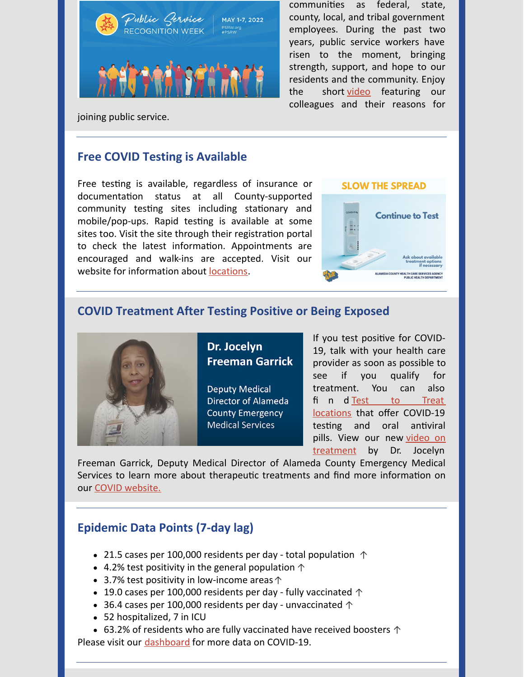

communities as federal, state, county, local, and tribal government employees. During the past two years, public service workers have risen to the moment, bringing strength, support, and hope to our residents and the community. Enjoy the short [video](https://youtu.be/fPl5qT1TLWg) featuring our colleagues and their reasons for

joining public service.

# **Free COVID Testing is Available**

Free testing is available, regardless of insurance or documentation status at all County-supported community testing sites including stationary and mobile/pop-ups. Rapid testing is available at some sites too. Visit the site through their registration portal to check the latest information. Appointments are encouraged and walk-ins are accepted. Visit our website for information about [locations](https://covid-19.acgov.org/testing).

#### **SLOW THE SPREAD**



### **COVID Treatment After Testing Positive or Being Exposed**



Dr. Jocelyn **Freeman Garrick** 

**Deputy Medical** Director of Alameda **County Emergency Medical Services** 

If you test positive for COVID-19, talk with your health care provider as soon as possible to see if you qualify for treatment. You can also fi n d Test to Treat locations that offer [COVID-19](https://www.cdph.ca.gov/Programs/CID/DCDC/Pages/COVID-19/Test-to-treat-locations.aspx) testing and oral antiviral pills. View our new video on [treatment](https://www.youtube.com/watch?v=I1MYyE1H5kQ) by Dr. Jocelyn

Freeman Garrick, Deputy Medical Director of Alameda County Emergency Medical Services to learn more about therapeutic treatments and find more information on our COVID [website.](https://covid-19.acgov.org/antibody-treatment)

## **Epidemic Data Points (7-day lag)**

- 21.5 cases per 100,000 residents per day total population  $\uparrow$
- 4.2% test positivity in the general population  $\uparrow$
- 3.7% test positivity in low-income areas↑
- 19.0 cases per 100,000 residents per day fully vaccinated  $\uparrow$
- 36.4 cases per 100,000 residents per day unvaccinated  $\uparrow$
- 52 hospitalized, 7 in ICU
- 63.2% of residents who are fully vaccinated have received boosters  $\uparrow$

Please visit our [dashboard](https://covid-19.acgov.org/data) for more data on COVID-19.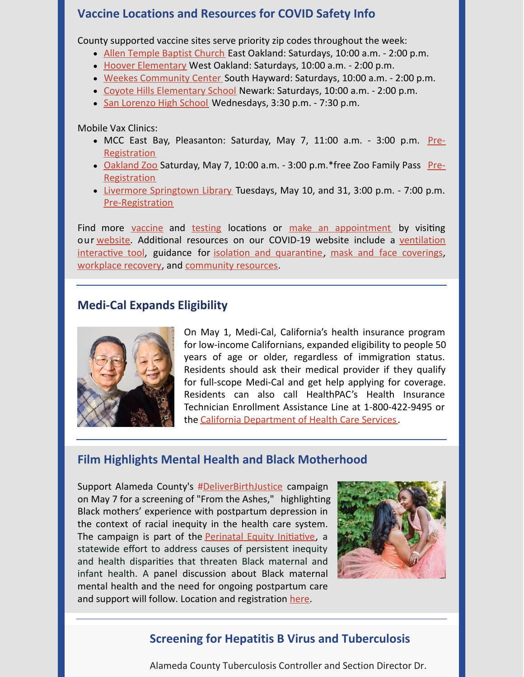### **Vaccine Locations and Resources for COVID Safety Info**

County supported vaccine sites serve priority zip codes throughout the week:

- Allen [Temple](https://files.constantcontact.com/dbe334f7701/b533baff-0022-471f-bcdf-7ffb42bc6f1b.pdf) Baptist Church East Oakland: Saturdays, 10:00 a.m. 2:00 p.m.
- Hoover [Elementary](https://files.constantcontact.com/dbe334f7701/b365da43-a85e-491e-9f91-1abdbd1b6047.pdf) West Oakland: Saturdays, 10:00 a.m. 2:00 p.m.
- Weekes [Community](https://files.constantcontact.com/dbe334f7701/182c54df-beae-4813-8046-50358cd9b84b.pdf) Center South Hayward: Saturdays, 10:00 a.m. 2:00 p.m.
- Coyote Hills [Elementary](https://files.constantcontact.com/dbe334f7701/e30ebbb0-0af5-4ff3-966e-2b8fc65553bc.pdf) School Newark: Saturdays, 10:00 a.m. 2:00 p.m.
- San [Lorenzo](https://files.constantcontact.com/dbe334f7701/08ba93c2-8671-41f3-98ae-0fbf4a8621ab.pdf) High School Wednesdays, 3:30 p.m. 7:30 p.m.

Mobile Vax Clinics:

- MCC East Bay, [Pleasanton:](https://my.primary.health/l/baplsvaccine) Saturday, May 7, 11:00 a.m. 3:00 p.m. Pre-**Registration**
- [Oakland](https://files.constantcontact.com/dbe334f7701/401844c1-4a2c-4a96-8530-c2897b4178ef.pdf) Zoo Saturday, May 7, 10:00 a.m. 3:00 p.m.\*free Zoo Family Pass Pre-**[Registration](https://crbn.app.link/e/covidvax-oakland-zoo)**
- Livermore [Springtown](https://files.constantcontact.com/dbe334f7701/0a6b2a5b-272f-4661-91b7-bb0fecaa2fc4.pdf) Library Tuesdays, May 10, and 31, 3:00 p.m. 7:00 p.m. [Pre-Registration](https://my.primary.health/l/lafamiliavaccine-skywest-io)

Find more [vaccine](https://covid-19.acgov.org/vaccines.page?#availability) and [testing](https://covid-19.acgov.org/testing) locations or make an [appointment](https://my.primary.health/l/alco-vax-signup) by visiting our [website](https://covid-19.acgov.org/vaccines). Additional resources on our COVID-19 website include a ventilation interactive tool, guidance for isolation and quarantine, [mask](https://covid-19.acgov.org/face-masks) an[d](https://covid-19.acgov.org/face-masks) face [coverings](https://covid-19.acgov.org/face-masks), [workplace](https://covid-19.acgov.org/recovery) recovery, and [community](https://covid-19.acgov.org/community-resources) resources.

### **Medi-Cal Expands Eligibility**



On May 1, Medi-Cal, California's health insurance program for low-income Californians, expanded eligibility to people 50 years of age or older, regardless of immigration status. Residents should ask their medical provider if they qualify for full-scope Medi-Cal and get help applying for coverage. Residents can also call HealthPAC's Health Insurance Technician Enrollment Assistance Line at 1-800-422-9495 or the California [Department](https://www.dhcs.ca.gov/Pages/myMedi-Cal.aspx) of Health Care Services.

### **Film Highlights Mental Health and Black Motherhood**

Support Alameda County's [#DeliverBirthJustice](https://deliverbirthjustice.org/) campaign on May 7 for a screening of "From the Ashes," highlighting Black mothers' experience with postpartum depression in the context of racial inequity in the health care system. The campaign is part of the [Perinatal](https://www.cdph.ca.gov/Programs/CFH/DMCAH/PEI/Pages/default.aspx) Equity Initiative, a statewide effort to address causes of persistent inequity and health disparities that threaten Black maternal and infant health. A panel discussion about Black maternal mental health and the need for ongoing postpartum care and support will follow. Location and registration [here](https://www.eventbrite.com/e/from-the-ashes-film-screening-black-maternal-mental-health-celebration-tickets-316999904247).



### **Screening for Hepatitis B Virus and Tuberculosis**

Alameda County Tuberculosis Controller and Section Director Dr.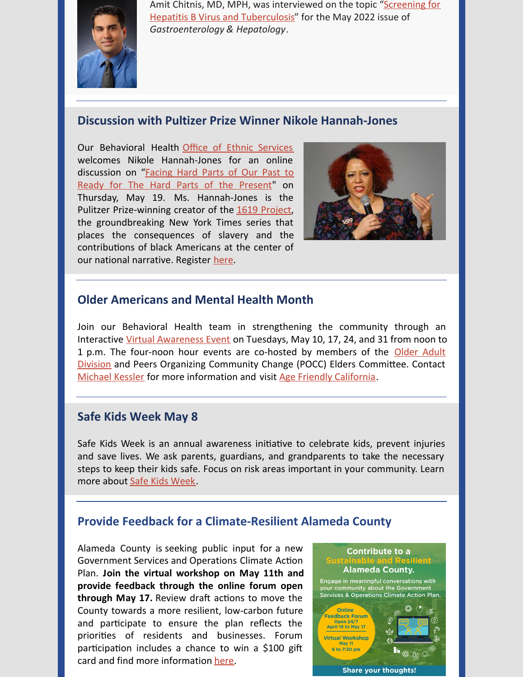

Amit Chitnis, MD, MPH, was interviewed on the topic "Screening for Hepatitis B Virus and [Tuberculosis"](https://www.gastroenterologyandhepatology.net/archives/may-2022/screening-for-hepatitis-b-virus-and-tuberculosis/) for the May 2022 issue of *Gastroenterology & Hepatology*.

#### **Discussion with Pultizer Prize Winner Nikole Hannah-Jones**

Our Behavioral Health Office of Ethnic [Services](https://www.acbhcs.org/office-of-the-director/announcements-strategic-initiatives/) welcomes Nikole Hannah-Jones for an online [discussion](https://www.acbhcs.org/Providers/News/2022/ACMH_Project1619_02.pdf) on "Facing Hard Parts of Our Past to Ready for The Hard Parts of the Present" on Thursday, May 19. Ms. Hannah-Jones is the Pulitzer Prize-winning creator of the 1619 [Project](https://www.nytimes.com/interactive/2019/08/14/magazine/1619-america-slavery.html), the groundbreaking New York Times series that places the consequences of slavery and the contributions of black Americans at the center of our national narrative. Register [here.](https://us02web.zoom.us/meeting/register/tZYocuuvpjwsHdXbbiNuP2t11Dd_Yw5OC4oD)



### **Older Americans and Mental Health Month**

Join our Behavioral Health team in strengthening the community through an Interactive Virtual [Awareness](https://www.acbhcs.org/Providers/News/2022/Mental Health Awreness Month Flyer May 2022.pdf) Event on Tuesdays, May 10, 17, 24, and 31 from noon to 1 p.m. The four-noon hour events are co-hosted by members of the Older Adult Division and Peers Organizing Community Change (POCC) Elders Committee. Contact [Michael](mailto:Michael.kessler@acgov.org) Kessler for more information and visit Age Friendly [California](https://agefriendly.acgov.org/index).

#### **Safe Kids Week May 8**

Safe Kids Week is an annual awareness initiative to celebrate kids, prevent injuries and save lives. We ask parents, guardians, and grandparents to take the necessary steps to keep their kids safe. Focus on risk areas important in your community. Learn more about Safe Kids [Week](https://www.safekids.org/safe-kids-week).

### **Provide Feedback for a Climate-Resilient Alameda County**

Alameda County is seeking public input for a new Government Services and Operations Climate Action Plan. **Join the virtual workshop on May 11th and provide feedback through the online forum open through May 17.** Review draft actions to move the County towards a more resilient, low-carbon future and participate to ensure the plan reflects the priorities of residents and businesses. Forum participation includes a chance to win a  $$100$  gift card and find more information [here](https://acgov.org/sustain/engage/).